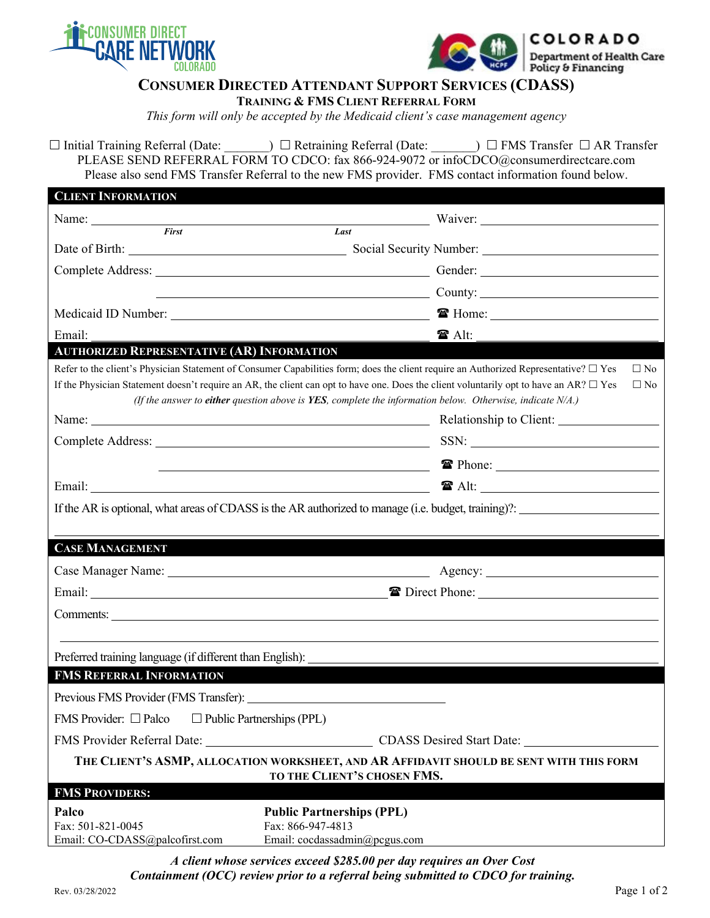



## **CONSUMER DIRECTED ATTENDANT SUPPORT SERVICES (CDASS)**

**TRAINING & FMS CLIENT REFERRAL FORM**

*This form will only be accepted by the Medicaid client's case management agency* 

 $\Box$  Initial Training Referral (Date:  $\Box$  Retraining Referral (Date:  $\Box$  FMS Transfer  $\Box$  AR Transfer PLEASE SEND REFERRAL FORM TO CDCO: fax 866-924-9072 or infoCDCO@consumerdirectcare.com Please also send FMS Transfer Referral to the new FMS provider. FMS contact information found below.

| <b>CLIENT INFORMATION</b>                                                                                                                                                                                                     |                                                                                                                                                                                                                                                                                                                                                                                                                                          |
|-------------------------------------------------------------------------------------------------------------------------------------------------------------------------------------------------------------------------------|------------------------------------------------------------------------------------------------------------------------------------------------------------------------------------------------------------------------------------------------------------------------------------------------------------------------------------------------------------------------------------------------------------------------------------------|
| Name:                                                                                                                                                                                                                         |                                                                                                                                                                                                                                                                                                                                                                                                                                          |
| First                                                                                                                                                                                                                         | Last                                                                                                                                                                                                                                                                                                                                                                                                                                     |
|                                                                                                                                                                                                                               |                                                                                                                                                                                                                                                                                                                                                                                                                                          |
|                                                                                                                                                                                                                               | Complete Address: Gender: Gender: Gender: Gender: Complete Address: Complete Address: Complete Address: Complete Address: Complete Address: Complete Address: Complete Address: Complete Address: Complete Address: Complete A                                                                                                                                                                                                           |
|                                                                                                                                                                                                                               | $County:$ $\qquad \qquad \qquad$ $\qquad \qquad \qquad$ $\qquad \qquad$ $\qquad \qquad$ $\qquad \qquad$ $\qquad \qquad$ $\qquad \qquad$ $\qquad \qquad$ $\qquad \qquad$ $\qquad \qquad$ $\qquad \qquad$ $\qquad \qquad$ $\qquad \qquad$ $\qquad \qquad$ $\qquad \qquad$ $\qquad \qquad$ $\qquad \qquad$ $\qquad \qquad$ $\qquad \qquad$ $\qquad \qquad$ $\qquad \qquad$ $\qquad \qquad$ $\qquad \qquad$                                  |
|                                                                                                                                                                                                                               | The Home: 1999 Home: 1999 Home: 1999 Home: 1999 Home: 1999 Home: 1999 Home: 1999 Home: 1999 Home: 1999 Home: 1                                                                                                                                                                                                                                                                                                                           |
| Email:                                                                                                                                                                                                                        | <b>☎ Alt:</b>                                                                                                                                                                                                                                                                                                                                                                                                                            |
| <b>AUTHORIZED REPRESENTATIVE (AR) INFORMATION</b>                                                                                                                                                                             |                                                                                                                                                                                                                                                                                                                                                                                                                                          |
|                                                                                                                                                                                                                               | Refer to the client's Physician Statement of Consumer Capabilities form; does the client require an Authorized Representative? $\Box$ Yes<br>$\square$ No<br>If the Physician Statement doesn't require an AR, the client can opt to have one. Does the client voluntarily opt to have an AR? $\Box$ Yes<br>$\square$ No<br>(If the answer to either question above is YES, complete the information below. Otherwise, indicate $N/A$ .) |
|                                                                                                                                                                                                                               |                                                                                                                                                                                                                                                                                                                                                                                                                                          |
|                                                                                                                                                                                                                               | <b>The Phone:</b> <u>The Phone:</u> The Phone: 2008年 10:00 10:00 10:00 10:00 10:00 10:00 10:00 10:00 10:00 10:00 10:00 10:00 10:00 10:00 10:00 10:00 10:00 10:00 10:00 10:00 10:00 10:00 10:00 10:0                                                                                                                                                                                                                                      |
|                                                                                                                                                                                                                               |                                                                                                                                                                                                                                                                                                                                                                                                                                          |
| <b>CASE MANAGEMENT</b>                                                                                                                                                                                                        | If the AR is optional, what areas of CDASS is the AR authorized to manage (i.e. budget, training)?:                                                                                                                                                                                                                                                                                                                                      |
| Case Manager Name: 1988 Manager Name: 1988 Manager Name: 1988 Manager Name: 1988 Manager Name: 1988 Manager Name: 1988 Manager Name: 1988 Manager Name: 1988 Manager Name: 1988 Manager Name: 1988 Manager Name: 1988 Manager |                                                                                                                                                                                                                                                                                                                                                                                                                                          |
|                                                                                                                                                                                                                               |                                                                                                                                                                                                                                                                                                                                                                                                                                          |
| Comments:                                                                                                                                                                                                                     |                                                                                                                                                                                                                                                                                                                                                                                                                                          |
|                                                                                                                                                                                                                               |                                                                                                                                                                                                                                                                                                                                                                                                                                          |
|                                                                                                                                                                                                                               |                                                                                                                                                                                                                                                                                                                                                                                                                                          |
| Preferred training language (if different than English):<br><b>FMS REFERRAL INFORMATION</b>                                                                                                                                   |                                                                                                                                                                                                                                                                                                                                                                                                                                          |
| Previous FMS Provider (FMS Transfer):                                                                                                                                                                                         |                                                                                                                                                                                                                                                                                                                                                                                                                                          |
| FMS Provider: $\Box$ Palco<br>$\Box$ Public Partnerships (PPL)                                                                                                                                                                |                                                                                                                                                                                                                                                                                                                                                                                                                                          |
|                                                                                                                                                                                                                               |                                                                                                                                                                                                                                                                                                                                                                                                                                          |
|                                                                                                                                                                                                                               |                                                                                                                                                                                                                                                                                                                                                                                                                                          |
|                                                                                                                                                                                                                               | THE CLIENT'S ASMP, ALLOCATION WORKSHEET, AND AR AFFIDAVIT SHOULD BE SENT WITH THIS FORM<br>TO THE CLIENT'S CHOSEN FMS.                                                                                                                                                                                                                                                                                                                   |
| <b>FMS PROVIDERS:</b>                                                                                                                                                                                                         |                                                                                                                                                                                                                                                                                                                                                                                                                                          |
| Palco<br>Fax: 501-821-0045<br>Email: CO-CDASS@palcofirst.com                                                                                                                                                                  | <b>Public Partnerships (PPL)</b><br>Fax: 866-947-4813<br>Email: cocdassadmin@pcgus.com                                                                                                                                                                                                                                                                                                                                                   |

*A client whose services exceed \$285.00 per day requires an Over Cost Containment (OCC) review prior to a referral being submitted to CDCO for training.*